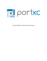

DEVELOPMENT APPLICATION PACKAGE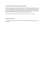#### **STATUTORY PURPOSE OF THE PORT AUTHORITY**

RSMO Chapter 68.020: As a political subdivision of the State of Missouri, it shall be the purposes of every port authority to promote the general welfare, to promote development within the port district, to encourage private capital investment by fostering the creation of industrial facilities and industrial parks within the port district and to endeavor to increase the volume of commerce, and to promote the establishment of a foreign trade zone within the port districts.

The port district for Port KC is the boundary lines of the City of Kansas City, Missouri.

#### **MISSION OF PORT KC**

To grow the economy of Kansas City's Port District through transportation, global commerce, and development.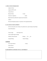## **I. APPLICATION INFORMATION**

| <b>Applicant Name:</b>                                                |            |  |  |  |  |  |  |
|-----------------------------------------------------------------------|------------|--|--|--|--|--|--|
| Applicant EIN/Tax ID:                                                 |            |  |  |  |  |  |  |
| <b>Contact Person:</b>                                                |            |  |  |  |  |  |  |
| <b>Business Phone:</b>                                                | $E$ -mail: |  |  |  |  |  |  |
| <b>Attorney for Applicant:</b>                                        | Email:     |  |  |  |  |  |  |
| Representative(s) authorized to sign/execute documents:               |            |  |  |  |  |  |  |
| Address:                                                              |            |  |  |  |  |  |  |
| Previous development projects or experience of the organization/firm: |            |  |  |  |  |  |  |

#### **II. LOCATION OF DEVELOPMENT**

*(In this section please note existing versus planned area, square footage and parking).*

General Boundaries:

Total Leasable Square Footage:

| Number of floors (levels): | Parking: <u>Yes No</u> |  |  |
|----------------------------|------------------------|--|--|
|----------------------------|------------------------|--|--|

Garage Parking: Surface Parking:

## **Jurisdiction**

City Council District: County:

School District:

Library District:

## **III. DESCRIPTIVE SUMMARY OF PLAN AND PROJECT**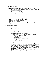### **IV. CURRENT OPERATIONS**

- Does the company or project have an existing presence in Kansas City?
	- o If yes, provide current information on taxable property, number of employees and average salary.
	- o Provide the market value of firm's taxable property (associated with this project) currently on the tax rolls.
		- $\blacksquare$  Land:  $\mathcal S$
		- Buildings  $&$  other Real Property:  $\$
		- Personal Property: \$
- Number of existing employees working at current facility.
- Number of jobs to be retained. (*Include average salary).*
- Current annual taxable sales (if applicable): \$
- Current annual taxable purchases: \$
- Will there be a use of federal or state incentives for the Project? *(If so, please describe)*

### **V. PROJECT DESCRIPTION**

Please attach the following for the development project, as applicable:

- Current land use and zoning for Project Area;
- Proposed land use, zoning for each Project Area;
- Off-site public improvements to be made within Project Area (i.e., infrastructure, streetscape improvements);
- A development schedule for the Project Plan;
- Design plans for the Project Area (including site plans & elevations);
- List of parcels in Project Area to include:
	- o Parcel County ID,
	- o Current assessed value,
	- o Separate land and improvement value,
	- o Owner's name and address.
- Number of full-time jobs to be added to the community each year.
- Average annual salaries of new and/or existing employees this year.
- The project's estimated taxable purchases of materials, supplies, and services in the community and the project's estimated taxable sales within the community that will be subject to sales tax within the community.
- If seeking personal property exemption, the estimated value of the personal property and its estimated taxable sales within the community that will be subject to sales tax within the community.
- Project's annual utility usage (water, electricity and natural gas)
- Percent of building costs for materials and labor.
- Total number of residential units and affordable units planned (for projects that include multi-family housing).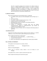*Port KC is committed to helping the City of Kansas City, Missouri achieve its objective of adding affordable housing inventory as set forth in Committee Substitute for Ordinance No. 201038, As Amended.. Port KC expects that affordable units will be developed in a manner that maximizes the community benefit and will work with the applicant to ensure a mix of unit types and amenities for households of differing sizes.* 

#### **VI. PROJECT BUDGET**

Please attach the following for the development project, as applicable:

- A complete sources and uses of the development costs by Project (yrs. 1- 10);
- 10 Year pro forma:
- The project's capital investment each year (yrs. 1-10):
- Amount and source of total financing;
- Building permits and fees to be paid to City during construction
- Name of Lender/investor(s);
- Evidence of commitment to provide funds from the lending institution/investor *(Signed by lender(s)/investors and notation of conditions and contingencies, if any);*
- Identify the amount of Project costs to be financed with bond proceeds, if applicable.

#### **VII. BOND ISSUANCE**

Chapter 68 of the Missouri Revised Statues authorizes the Port Authority, as a political subdivision, to issue revenue bonds for public offering and private placement.

Please complete the following for a bond issuance:

- Will issuance be a private placement \_\_\_\_ or public offering \_\_\_\_\_
- Amount of bond issuance \$
- *Refer to the attachments to this application for issuance fee(s) schedule.*

### **VIII. CONTROL OF PROPERTY**

If the applicant owns the project site or property, indicate:

Date of Purchase: Mortgage(s)/Security:

Balance of existing Mortgage(s):

Submit copies of promissory note(s), deed(s) of trust and deed(s) for each Mortgage.

Does applicant have a contract or option to purchase the project site?

Please complete the following if this describes the project: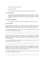Date purchase/option contract signed:

Closing/expiration date:

Provide a copy of purchase/option contract(s) and sale-leaseback *(If applicable).*

#### **IX. TAX EXEMPTION**

For any property for which tax exemption is requested (real and/or personal, as applicable), complete the "Requested Exemption Schedules" attached to this application. All taxes and proposed payments shall be allocated on a pro rata basis consistent with applicable levy rates.

#### **X. FUNDING AGREEMENT**

The Applicant shall complete and sign the Funding Agreement attached to this petition.

#### **XI. DISCLOSURES**

Has the Applicant or any partner, officer, member or director of the Applicant or any entity (affiliated with Applicant or otherwise) in which any partner, officer, member or director of the Applicant is or was a partner, officer, member or director, ever been a debtor in bankruptcy?

If yes, state the name of business or individual, caption of the proceeding, court and year in which it was filed and its disposition and/or status:

\_\_\_\_\_\_\_\_\_\_\_\_\_\_\_\_\_\_\_\_\_\_\_\_\_\_\_\_\_\_\_\_\_\_\_\_\_\_\_\_\_\_\_\_\_\_\_\_\_\_\_\_\_\_\_\_\_\_\_\_\_\_\_\_\_\_\_\_\_\_\_\_\_\_\_\_\_\_

\_\_\_\_\_\_\_\_\_\_\_\_\_\_\_\_\_\_\_\_\_\_\_\_\_\_\_\_\_\_\_\_\_\_\_\_\_\_\_\_\_\_\_\_\_\_\_\_\_\_\_\_\_\_\_\_\_\_\_\_\_\_\_\_\_\_\_\_\_\_\_\_\_\_\_\_\_\_

Has the Applicant, or any partner, officer, member or director of the Applicant or any entity (affiliated with Applicant or otherwise) in which any partner, officer, member or director of the Applicant is or was a partner, officer, member or director, ever been charged with and/or convicted of a criminal offense?

If yes, state the name of business or individual, caption of the proceeding, court and year in which it was filed and its disposition and/or status: \_\_\_\_\_\_\_\_\_\_\_\_\_\_\_\_\_\_\_\_\_\_\_\_\_\_\_\_\_\_\_\_\_\_\_\_\_\_\_\_\_\_\_\_\_\_\_\_\_\_\_\_\_\_\_\_\_\_\_\_\_\_\_\_\_\_\_\_\_\_\_\_\_\_\_\_\_\_

Has the Applicant, or any partner, officer, member or director of the Applicant or any entity (affiliated with Applicant or otherwise) in which any partner, officer, member or director of the Applicant is or was a partner, officer, member or director, ever been advised or have reason to believe that it is or may be the subject of a criminal investigation?

\_\_\_\_\_\_\_\_\_\_\_\_\_\_\_\_\_\_\_\_\_\_\_\_\_\_\_\_\_\_\_\_\_\_\_\_\_\_\_\_\_\_\_\_\_\_\_\_\_\_\_\_\_\_\_\_\_\_\_\_\_\_\_\_\_\_\_\_\_\_\_\_\_\_\_\_\_\_

If yes, state the name of business or individual, caption of the proceeding, court and year in which it was filed and its disposition and/or status:

\_\_\_\_\_\_\_\_\_\_\_\_\_\_\_\_\_\_\_\_\_\_\_\_\_\_\_\_\_\_\_\_\_\_\_\_\_\_\_\_\_\_\_\_\_\_\_\_\_\_\_\_\_\_\_\_\_\_\_\_\_\_\_\_\_\_\_\_\_\_\_\_\_\_\_\_\_\_ \_\_\_\_\_\_\_\_\_\_\_\_\_\_\_\_\_\_\_\_\_\_\_\_\_\_\_\_\_\_\_\_\_\_\_\_\_\_\_\_\_\_\_\_\_\_\_\_\_\_\_\_\_\_\_\_\_\_\_\_\_\_\_\_\_\_\_\_\_\_\_\_\_\_\_\_\_\_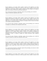Has the Applicant, or any partner, officer, member or director of the Applicant or any entity (affiliated with Applicant or otherwise) in which any partner, officer, member or director of the Applicant is or was a partner, officer, member or director, ever been charged by any regulatory agency with violations of financial or professional regulations?

If yes, state the name of business or individual, caption of the proceeding, year in which the charge was filed and its disposition and/or status:

\_\_\_\_\_\_\_\_\_\_\_\_\_\_\_\_\_\_\_\_\_\_\_\_\_\_\_\_\_\_\_\_\_\_\_\_\_\_\_\_\_\_\_\_\_\_\_\_\_\_\_\_\_\_\_\_\_\_\_\_\_\_\_\_\_\_\_\_\_\_\_\_\_\_\_\_\_\_ \_\_\_\_\_\_\_\_\_\_\_\_\_\_\_\_\_\_\_\_\_\_\_\_\_\_\_\_\_\_\_\_\_\_\_\_\_\_\_\_\_\_\_\_\_\_\_\_\_\_\_\_\_\_\_\_\_\_\_\_\_\_\_\_\_\_\_\_\_\_\_\_\_\_\_\_\_\_

Has the Applicant, or any partner, officer, member or director of the Applicant or any entity (affiliated with Applicant or otherwise) in which any partner, officer, member or director of the Applicant is or was a partner, officer, member or director, ever been advised or have reason to believe that it is or may be the subject of a regulatory investigation related to financial misconduct or the violation of professional standards?

If yes, state the name of business or individual, caption of the proceeding, year in which the investigation was undertaken and its disposition and/or status:

\_\_\_\_\_\_\_\_\_\_\_\_\_\_\_\_\_\_\_\_\_\_\_\_\_\_\_\_\_\_\_\_\_\_\_\_\_\_\_\_\_\_\_\_\_\_\_\_\_\_\_\_\_\_\_\_\_\_\_\_\_\_\_\_\_\_\_\_\_\_\_\_\_\_\_\_\_\_ \_\_\_\_\_\_\_\_\_\_\_\_\_\_\_\_\_\_\_\_\_\_\_\_\_\_\_\_\_\_\_\_\_\_\_\_\_\_\_\_\_\_\_\_\_\_\_\_\_\_\_\_\_\_\_\_\_\_\_\_\_\_\_\_\_\_\_\_\_\_\_\_\_\_\_\_\_\_ \_\_\_\_\_\_\_\_\_\_\_\_\_\_\_\_\_\_\_\_\_\_\_\_\_\_\_\_\_\_\_\_\_\_\_\_\_\_\_\_\_\_\_\_\_\_\_\_\_\_\_\_\_\_\_\_\_\_\_\_\_\_\_\_\_\_\_\_\_\_\_\_\_\_\_\_\_\_

Has the Applicant, or any partner, officer, member or director of the Applicant or any entity (affiliated with Applicant or otherwise) in which any partner, officer, member or director of the Applicant is or was a partner, officer, member or director, ever voluntarily surrendered any professional licenses and/or paid or offered to pay any monetary amount as a means of resolving, attempting to resolve, or otherwise avoiding any criminal prosecution and/or regulatory proceedings?

If yes, state the name of business or individual, caption of the proceeding, year in which the surrender or payment was made and its disposition and/or status:

\_\_\_\_\_\_\_\_\_\_\_\_\_\_\_\_\_\_\_\_\_\_\_\_\_\_\_\_\_\_\_\_\_\_\_\_\_\_\_\_\_\_\_\_\_\_\_\_\_\_\_\_\_\_\_\_\_\_\_\_\_\_\_\_\_\_\_\_\_\_\_\_\_\_\_\_\_\_

\_\_\_\_\_\_\_\_\_\_\_\_\_\_\_\_\_\_\_\_\_\_\_\_\_\_\_\_\_\_\_\_\_\_\_\_\_\_\_\_\_\_\_\_\_\_\_\_\_\_\_\_\_\_\_\_\_\_\_\_\_\_\_\_\_\_\_\_\_\_\_\_\_\_\_\_\_\_

Has the Applicant, or any partner, officer, member or director of the Applicant or any entity (affiliated with Applicant or otherwise) in which any partner, officer, member or director of the Applicant is or was a partner, officer, member or director, mediated, arbitrated, litigated or otherwise settled a legal dispute related to their business activities within the previous five (5) years?

If yes, state the name of business or individual, caption of the proceeding, court and year in which it was filed and its disposition and/or status:

\_\_\_\_\_\_\_\_\_\_\_\_\_\_\_\_\_\_\_\_\_\_\_\_\_\_\_\_\_\_\_\_\_\_\_\_\_\_\_\_\_\_\_\_\_\_\_\_\_\_\_\_\_\_\_\_\_\_\_\_\_\_\_\_\_\_\_\_\_\_\_\_\_\_\_\_\_\_ \_\_\_\_\_\_\_\_\_\_\_\_\_\_\_\_\_\_\_\_\_\_\_\_\_\_\_\_\_\_\_\_\_\_\_\_\_\_\_\_\_\_\_\_\_\_\_\_\_\_\_\_\_\_\_\_\_\_\_\_\_\_\_\_\_\_\_\_\_\_\_\_\_\_\_\_\_\_

Has the Applicant, or any partner, officer, member or director of the Applicant or any entity (affiliated with Applicant or otherwise) in which any partner, officer, member or director of the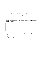Applicant is or was a partner, officer, member or director, ever defaulted on any bond or mortgage commitment?

If yes, state the name of business or individual, year and any relevant circumstances:

\_\_\_\_\_\_\_\_\_\_\_\_\_\_\_\_\_\_\_\_\_\_\_\_\_\_\_\_\_\_\_\_\_\_\_\_\_\_\_\_\_\_\_\_\_\_\_\_\_\_\_\_\_\_\_\_\_\_\_\_\_\_\_\_\_\_\_\_\_\_\_\_\_\_\_\_\_\_

\_\_\_\_\_\_\_\_\_\_\_\_\_\_\_\_\_\_\_\_\_\_\_\_\_\_\_\_\_\_\_\_\_\_\_\_\_\_\_\_\_\_\_\_\_\_\_\_\_\_\_\_\_\_\_\_\_\_\_\_\_\_\_\_\_\_\_\_\_\_\_\_\_\_\_\_\_\_ \_\_\_\_\_\_\_\_\_\_\_\_\_\_\_\_\_\_\_\_\_\_\_\_\_\_\_\_\_\_\_\_\_\_\_\_\_\_\_\_\_\_\_\_\_\_\_\_\_\_\_\_\_\_\_\_\_\_\_\_\_\_\_\_\_\_\_\_\_\_\_\_\_\_\_\_\_\_ \_\_\_\_\_\_\_\_\_\_\_\_\_\_\_\_\_\_\_\_\_\_\_\_\_\_\_\_\_\_\_\_\_\_\_\_\_\_\_\_\_\_\_\_\_\_\_\_\_\_\_\_\_\_\_\_\_\_\_\_\_\_\_\_\_\_\_\_\_\_\_\_\_\_\_\_\_\_

Is the Applicant delinquent on any federal, state or local taxes?

If yes, identify the delinquency and any relevant circumstances:

Provide the legal names (first and last) of all partners, officers, members and/or directors (as applicable) of Applicant:

**NOTE:** Port KC reserves the right to engage a third-party vendor for purpose of conducting a background check on Applicant or any partner, officer, member or director of the Applicant or any entity (affiliated with Applicant or otherwise) in which any partner, officer, member or director of the Applicant is or was a partner, officer, member or director for purposes of verifying the accuracy and completeness of any information disclosed (or not disclosed) in response to this Section XI.

The failure to disclose or the making of any material misstatement in response to this Section XI may result in the summary denial of the application and any future applications that may be submitted by Applicant, in Port KC's sole discretion.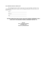#### **XII. CERTIFICATION OF APPLICANT**

The undersigned hereby certifies, based upon the actual knowledge and belief of the undersigned and under penalty of perjury, that the foregoing information is true and correct in all material respects.

Name:

Signature:\_\_\_\_\_\_\_\_\_\_\_\_\_\_\_\_\_\_\_\_\_\_\_\_\_\_\_\_\_\_\_\_\_\_\_

Title:\_\_\_\_\_\_\_\_\_\_\_\_\_\_\_\_\_\_\_\_\_\_\_\_\_\_\_\_\_\_\_\_\_\_\_\_\_\_\_

## **RETURN COMPLETED APPLICATION, EXECUTED FUNDING AGREEMENT, AND A CHECK WITH THE REQUIRED FUNDING AGREEMENT DEPOSIT TO:**

**Port KC Attn: Development Manager 110 Berkley Plaza Kansas City, Missouri 64120**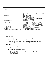#### **BOND ISSUANCE COST SCHEDULE**

| <b>Activity</b>                                          | Fee                                                                           |                                                                                |  |  |  |  |  |  |
|----------------------------------------------------------|-------------------------------------------------------------------------------|--------------------------------------------------------------------------------|--|--|--|--|--|--|
| Funding Agreement Deposit*                               | \$20,000                                                                      |                                                                                |  |  |  |  |  |  |
|                                                          | *This deposit is structured to cover costs expected to be incurred by Port KC |                                                                                |  |  |  |  |  |  |
|                                                          |                                                                               | prior to any bond closing and shall not offset or reduce any other fee payable |  |  |  |  |  |  |
|                                                          |                                                                               | pursuant to this Bond Issuance Cost Schedule, except as expressly provided     |  |  |  |  |  |  |
|                                                          |                                                                               | in the Funding Agreement with respect to the Bond Issuance Fee.                |  |  |  |  |  |  |
|                                                          |                                                                               | Supplemental deposits, if any, shall be governed by the terms of the Funding   |  |  |  |  |  |  |
|                                                          | Agreement.                                                                    |                                                                                |  |  |  |  |  |  |
| Bond Issuance Fee*                                       | 0.375% on first \$10,000,000                                                  |                                                                                |  |  |  |  |  |  |
|                                                          | 0.250% on next \$15,000,000                                                   |                                                                                |  |  |  |  |  |  |
|                                                          | 0.125% on remaining issuance amount                                           |                                                                                |  |  |  |  |  |  |
|                                                          |                                                                               | *Bond Issuance Fee will not exceed \$60,000 if the bonds are issued in support |  |  |  |  |  |  |
|                                                          | of a charitable, not-for-profit $501(c)(3)$                                   |                                                                                |  |  |  |  |  |  |
| In-House Legal Services Fee                              | Issuance $\leq$ \$10M                                                         | \$35,000                                                                       |  |  |  |  |  |  |
|                                                          | Issuance $\leq$ \$25M                                                         | \$40,000                                                                       |  |  |  |  |  |  |
|                                                          | Issuance $> $25M$                                                             | \$45,000                                                                       |  |  |  |  |  |  |
| <b>Bond Counsel Legal Services Fee</b>                   | Issuance $<$ \$15M                                                            | \$0.95 per \$1,000, but not < \$12,000                                         |  |  |  |  |  |  |
|                                                          | Issuance $\leq$ \$50M                                                         | $$14,250 + $0.41$ per \$1,000 over \$15M                                       |  |  |  |  |  |  |
|                                                          | Issuance $\leq$ \$100M                                                        | $$28,600 + $0.28$ per \$1,000 over \$50M                                       |  |  |  |  |  |  |
|                                                          | Issuance $> $100M$                                                            | $$42,600 + $0.14$ per \$1,000 over \$100M                                      |  |  |  |  |  |  |
| <b>Bond Trustee Services Fee</b>                         | <b>Actual Invoice Amount</b>                                                  |                                                                                |  |  |  |  |  |  |
| Annual Administrative Fee                                |                                                                               | 3.5% of total averaged annual <i>ad valorem</i> exemption value                |  |  |  |  |  |  |
| Sales Tax Exemption Fee                                  | 2% of total estimated sales tax savings                                       |                                                                                |  |  |  |  |  |  |
| Port KC Logistics Hiring & Workforce Advancement Program |                                                                               | Real Property: \$0.25 per square foot of vertical improvements                 |  |  |  |  |  |  |
| Fee*                                                     | Personal Property: 0.5% of Bond Issuance amount                               |                                                                                |  |  |  |  |  |  |
|                                                          |                                                                               | *This fee shall be applicable only with respect to projects whose primary      |  |  |  |  |  |  |
|                                                          | purposes includes the construction and/or equipping of logistics,             |                                                                                |  |  |  |  |  |  |
|                                                          |                                                                               | warehousing and/or manufacturing facilities. Personal Property for             |  |  |  |  |  |  |
|                                                          |                                                                               | purposes of this fee shall not include those materials incorporated or         |  |  |  |  |  |  |
|                                                          | consumed in the construction of the project.                                  |                                                                                |  |  |  |  |  |  |

#### **MISCELLANOUS FEES:**

A supplemental application fee in the amount of **\$2,500** shall be payable by the applicant in connection with each amendment to an existing bond issue, request for Port KC consent, or other Port KC action relating to an existing bond issue, which is not required as part of the issuance of a new series of bonds contemplated by an existing bond.

A supplemental In-House Legal Services Fee in the amount of **\$750** and supplemental Bond Counsel Legal Services Fee in the amount of **\$3,000** shall be payable by the application in the event the applicant requests the bond issuance date be rescheduled at any point after the bond documents shall have been executed by Port KC and delivered for issuance.

#### **FEE DUE DATES:**

The following fees shall be paid prior to the consideration of any inducement resolution or other action by the Board of Commissioners:

Funding Agreement Deposit

The following fees shall be paid at the time of bond issuance: Bond Issuance Fee In-House Legal Services Fee (including any supplemental In-House Leal Services Fee) Bond Counsel Legal Services Fee (including any supplemental Bond Counsel Legal Services Fee) Bond Trustee Services Fee Annual Administrative Fee Sales Tax Exemption Fee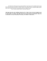The following fees shall be paid in five (5) annual installments of equal amount, the first installment being due at the time of bond issuance and each subsequent installment being due on the annual anniversary of said bond issuance, provided however that those electing to pay the fee in its entirety at the time of bond issuance may do so and shall be entitled to pay the present value of said fee as of the date of closing using a discount rate acceptable to Port KC:

▪ Port KC Logistics Hiring & Workforce Advancement Program Fee

**THIS BOND ISSUANCE COST SCHEDULE REFLECTS ONLY THOSE COSTS TO BE PAID THROUGH AND INCLUDING THE DATED THAT THE BONDS ARE ISSUED. ANY AND ALL FEES PAYABLE AFTER ISSUANCE OF THE BONDS, I.E., DURING THE TERM THAT THE BOUNDS REMAIN OUTSTANDING, SHALL BE GOVERNED BY AND PAID AS PROVIDED IN THE RELEVANT PROJECT AGREEMENTS.**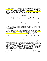#### **FUNDING AGREEMENT**

**THIS FUNDING AGREEMENT** (the **"Funding Agreement"**) is made as of \_\_\_\_\_\_\_\_\_\_\_\_\_\_\_\_, 20\_\_, (the **"Effective Date"**) between the **PORT AUTHORITY OF KANSAS CITY, MISSOURI**, a political subdivision of the State of Missouri created pursuant to Section 68.010 *et seq.*, RSMo ("Port KC") and, (**"Applicant"**) (each, a **"Party"** and together, Port KC and Applicant are hereinafter the **"Parties"**).

## **RECITALS**

A. Port KC is a political subdivision of the State of Missouri pursuant to Section 68.010, et seq. (the **"Act"**) of the Revised Missouri Statutes (**"RSMo"**), and is transacting business and exercising the powers granted by the Act.

B. Under the Act, Port KC is granted the authority to, among other things, promote development within its port district (the **"Port District"**), encourage private capital investment within its Port District, and endeavor to increase the volume of commerce within its Port District.

C. Port KC is further authorized to acquire, own, lease, sell or otherwise dispose of interests in and to real property and improvements situated thereon, as is necessary or desirable to fulfilling its purposes.

|         |                             |       |           | Applicant has purchased or anticipates the purchase of certain real property generally |    |
|---------|-----------------------------|-------|-----------|----------------------------------------------------------------------------------------|----|
|         | identified as approximately |       |           | acres of real property located in Kansas City,                                         |    |
| County, | Missouri,                   | being | generally | located                                                                                | at |
|         |                             |       |           | (the " <b>Property"</b> ).                                                             |    |

E. Applicant desires to invest private capital in the Port District by undertaking the improvement of the Property (the **"Project"**).

F. In furtherance of encouraging Applicant's private investment in the Port District and the Project, Applicant desires the assistance of Port KC to finance such development and investment by entering into a sale-leaseback arrangement, pursuant to which Applicant shall convey legal title to the Property to Port KC, and Port KC shall lease all such Property and Project, as applicable, to Applicant, all for the purposes of: (i) causing all tangible personal property incorporated or consumed in the construction Project to be exempt from sales taxes, pursuant to the Act and Section 144.062, RSMo; and (ii) causing the Project to be constructed, installed, completed and operated on a tax-exempt basis, free from ad valorem real property taxes, while Port KC is the fee owner of the Property, and to the maximum extent permitted by Missouri law and the Act, by virtue of Port KC's statutory authority (the **"Transaction"**).

G. Port KC and Applicant desire to enter into various documents that will further the Transaction in order to promote development and encourage private capital investment within the Port District, pursuant to Port KC's authority under the Act (the **"Transaction Documents"**).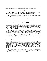H. In consideration of the Transaction, Applicant desires to enter into this Funding Agreement, subject to and conditioned upon the terms and provisions stated herein.

## **AGREEMENT**

**NOW, THEREFORE**, in consideration of the premises and mutual promises and agreements contained in this Funding Agreement, the Parties agree as follows:

**1. Incorporation of Recitals.** The foregoing Recitals are true and correct and incorporated by reference as if fully set forth herein.

## **2. Condition Precedent; Port KC Services to be Performed by Port KC.**

a. Port KC shall commence performance under this Funding Agreement at such time that Applicant pays the "Initial Funds" required by **Section 4**.

b. Subject to Applicant's compliance with the foregoing, Port KC shall provide administrative Port KC Services that it reasonably determines are necessary to cause the application for Port KC's assistance to be evaluated, and the Transaction and Transaction Documents to be structured, consummated, implemented, monitored, audited, amended and terminated, if and as required (the **"Port KC Services"**).

**3. Payment of Fees, Costs and Expenses.** Applicant shall pay to Port KC all reasonable costs, expenses, and fees, both direct and indirect, including customary reasonable, actual legal and administrative fees, arising out of and related to Port KC Services rendered by Port KC and its officers, directors, employees, agents, contractors, successors, and assigns in performing the Port KC Services (individually and collectively, the **"Port KC Costs"**). Without limiting the general nature of the foregoing, Port KC Costs shall include, but not be limited to, those costs incurred with respect to a third party financial analysis, if required by Port KC in its sole discretion, and any other third party expenses incurred by Port KC in collecting and analyzing such data as it may reasonably require for purposes of completing an internal financial analysis.

Notwithstanding the foregoing or anything in this Funding Agreement to the contrary, any sums incurred by Applicant for any services it elects to retain in connection with the Transaction and Transaction Documents, and any other sums paid or payable under the Transaction Documents to Port KC or any other person or entity at bond closing and during the term that the bonds remain outstanding shall not offset or reduce any financial obligation of Applicant under this Funding Agreement, but shall be additive to any financial obligation of Applicant under this Funding Agreement.

**4. Initial Funding.** Port KC acknowledges receipt from the Applicant of a deposit in the amount of Twenty Thousand and No/100 Dollars (\$20,000.00) (the **"Initial Funds"**), which Initial Funds shall be applied against and used to pay Port KC Costs.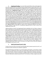**5. Supplemental Funding.** At any time following the Effective Date and throughout the term of the Transaction there are insufficient funds on deposit within the Initial Funds, Port KC may require the reimbursement or advancement by Applicant to Port KC of supplemental funds necessary to pay Port KC for any and all Port KC Costs that Port KC has or shall incur in conjunction with the Transaction (the **"Supplemental Funds"**). Port KC shall notify Applicant of the need for the Supplemental Funds, which notice shall include: (a) a brief narrative of the Port KC Costs for which the Supplemental Funds are needed; (b) the amount of the additional Port KC Costs: and (c) such other information as Port KC deems reasonably necessary and informative to Applicant regarding the basis for Port KC's need (the **"Cost Notice"**). Upon Applicant's request, Port KC shall provide Applicant with copies of invoices pursuant to which Port KC is incurring such additional Port KC Costs, or copies of payments made by Port KC for which reimbursement has been requested. In the event such Supplemental Funds provided by Applicant to Port KC for Port KC Costs exceeds in aggregate Fifteen Thousand and No/100 Dollars (\$15,000.00) (the **"Supplemental Funds Limit"**), Port KC shall not incur additional Port KC Costs in excess of the Supplemental Funds Limit without first: (a) providing Applicant a brief narrative of the funds needed in excess of the Supplemental Funds Limit; (b) providing Applicant the amount of the Port KC Costs in excess of the Supplemental Funds Limit; and (c) obtaining Applicant's approval to incur costs in excess of the Supplemental Funds Limit (the **"Approval Notice"**). Upon Applicant's request, Port KC shall provide Applicant with copies of invoices pursuant to which Port KC is incurring such approved Port KC Costs in excess of the Supplemental Funds Limit.

Applicant shall pay to Port KC the Supplemental Funds as identified in the Cost Notice or Approval Notice within thirty-five (35) calendar days of the date of the Cost Notice or Approval Notice (or such later period as may be specified in the Cost Notice or Approval Notice). If such Supplemental Funds are not received, in full, within thirty-five (35) calendar days of the date of the Cost Notice or Approval Notice (or such other period specified in the Cost Notice or Approval Notice), the unpaid balance of any Port KC Costs advanced or incurred by Port KC on behalf of Applicant, pursuant to this Funding Agreement, shall be subject to interest at the rate of two percent (2%)per month (the **"Interest Rate"**), until all such Port KC Costs are paid in full. Port KC shall have no obligation to provide Port KC Services to the Applicant under this Funding Agreement or fulfill any of its obligations related to the Transaction or under any of the Transaction Documents, unless and until all Port KC Costs set forth in the Cost Notice or Approval Notice are paid by Applicant, in full. Notwithstanding the foregoing, the absence of a Cost Notice shall not release Applicant of its obligation to pay Port KC Costs. However, the absence of an Approval Notice shall release Applicant of its obligation to pay Port KC Costs.

## **6. Initial Funds Deemed Earned; Credits.**

Twenty-five percent (25%) of the Initial Funds (\$5,000) shall be deemed earned by Port KC as of the Effective Date and shall not be refunded to Applicant.

If the bond financing on the Project, (or on the first phase of the Project, if such Project is being undertaken on a phased basis) closes within one hundred eighty (180) calendar days from the date upon which Port KC's Board of Commissioners adopts an inducement resolution expressing its intent to issue Port KC's bonds for the Project, an additional fifty-five percent (55%) of the Initial Funds (\$11,000) shall be deemed earned by Port KC in its entirety at closing. Applicant may elect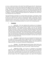to receive a credit for the balance of the Initial Funds (\$4,000) against Port KC's Bond Issuance Fee, which credit shall be issued at bond closing, provided Applicant shall have notified Port KC of its intention to claim such credit not less than seven (7) calendar days prior to the date of bond closing, Alternatively, or in the absence of a timely notice, the balance of the Initial Funds shall be retained by Port KC and utilized to fund any Port KC Costs incurred during the term of the Transaction. Notwithstanding the foregoing, the grant of the credit shall not relieve Applicant of its obligation to tender any Supplemental Funds should Port KC subsequently incur any Port KC Costs during the term of the Transaction.

If the bond financing on the Project, (or on the first phase of the Project, if such Project is being undertaken on a phased basis) does not close within one hundred eighty (180) calendar days from the date upon which Port KC's Board of Commissioners adopts an inducement resolution expressing its intent to issue Port KC's bonds for the Project, the Initial Funds shall be deemed earned by Port KC in their entirety and no portion of the same shall be credited or otherwise refunded to Applicant, notwithstanding anything to the contrary in this Funding Agreement.

## **7. Termination.**

a. By Port KC. In the event Applicant fails to perform any of its obligations under this Funding Agreement or any Transaction Document, Port KC may terminate this Funding Agreement. Such termination shall be subject to Port KC first providing Applicant with notice of such default, and allowing Applicant thirty (30) days following the date of such notice in which to cure such failure. Upon the termination of this Funding Agreement, the Transaction Documents shall remain in full force and effect, except to the extent such failure to perform under this Funding Agreement constitutes a default under any of the Transaction Documents. Port KC may also terminate this Funding Agreement in the event the Transaction contemplated by this Funding Agreement is not consummated within the period prescribed in the Transaction Documents or such later date as may be agreed to, in writing, by the Parties.

b. By Applicant. Applicant may elect to not consummate the Transaction. Upon the receipt by Port KC of a written notice of Applicant's election to not consummate the Transaction, this Funding Agreement shall terminate. Further, in the event the Applicant elects to terminate any of the Transaction Documents pursuant to the terms thereof, the Applicant may also, at its discretion, terminate this Funding Agreement.

c. Automatic. This Funding Agreement shall terminate without further action of the parties hereto in the event Port KC's Board of Commissioners elects not to adopt an inducement resolution expressing its intent to issue Port KC's bonds for the Project.

d. Application of Funds. In the event of a termination of this Funding Agreement, Port KC is hereby authorized to apply any Initial Funds and Supplemental Funds, if any, then on deposit with Port KC to any and all outstanding Port KC Costs incurred and/or expended through the termination date (including, but not limited to, interest that may have accrued on such Port KC Costs) as well as any monies that may be due and owing to Port KC by Applicant pursuant to any other of the Transaction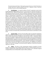Documents between the Parties. Following the payment thereof, any Initial Funds then on account with Port KC shall be released by Port KC to Applicant, except as otherwise provided in Section 6 of this Funding Agreement.

**8. Non-Disclosure.** As a material condition of Port KC's agreement to enter into this Funding Agreement, Applicant agrees that prior to such time that the Transaction Documents are approved by Port KC's Board of Commissioners, Applicant shall not, without first consulting with and obtaining the approval of Port KC, disclose information regarding the material financial terms of the Transaction or the Transaction Documents to any third-party broker, marketing, advertising, media or communications representative, or to any potential third-party tenant, subtenant, assignee, licensee, invitee or purchaser of all or any portion of the Property, Applicant recognizing that any such intentional or unintentional disclosure could materially impact the terms, requirements, economic benefits or timing of the Transaction and cause direct or indirect damage to Port KC. Notwithstanding the foregoing, this Non-Disclosure provision specifically excludes and does not prevent Applicant's disclosure of the material terms of the Transaction: (i) to any of the taxing districts of the applicable county in which the Property is located; (ii) as Applicant may be required by law; (iii) in any judicial or other dispute resolution process involving Port KC and Applicant; or (iv) unless the information is otherwise available to the public, which availability will be Applicant's burden to demonstrate to Port KC. In the event of a breach of this Section by Applicant or its agents and representatives, Port KC may terminate this Funding Agreement and Transaction, at its discretion. Any Port KC Costs incurred by Port KC on behalf of Applicant shall be due within thirty (30) days of the Funding Agreement termination, and the payment of such Port KC Costs shall survive the termination of this Funding Agreement, and any unpaid deficiency shall accrue interest at the Interest Rate, until the deficiency and all interest accrued thereon are paid in full.

**9. Security of Data.** Port KC reserves the right to utilize any information submitted by Applicant to undertake such financial analysis as Port KC determines appropriate in evaluating the Project, whether done internally or through one or more third party vendors. Any financial analysis may involve the sending of sensitive materials by electronic means or the use of third-party internet based software platforms. While Port KC will exercise reasonable care for purposes of avoiding any unintended disclosure, Applicant is aware that the security of an internet-based software service may be breached and data transmissions intercepted. Port KC disclaims any liability for security breaches or third party access of any information not caused by Port KC's sole negligence, and Applicant shall not seek to hold Port KC liable for any such security breach or third party access not so caused, or for any loss or damages of any kind incurred by Applicant, or that may be incurred by Applicant at a later date.

10. **Notices.** All notices or other communications required or permitted to be given pursuant to the provisions of this Funding Agreement shall be in writing and shall be sent by U.S. certified or registered mail, postage prepaid, return receipt requested, or via a nationally-recognized overnight delivery service which provides receipt for delivery, addressed: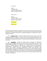If to Port KC:

Port KC 110 Berkley Plaza Kansas City, Missouri 64120 Attention: President and CEO

With a copy to:

Port KC 110 Berkley Plaza Kansas City, Missouri 64120 Attention: General Counsel

If to Applicant:

With a copy to:

Each Party may specify that notice be addressed to any other person or address by giving to the other party ten (10) days prior written notice thereof. Port KC may rely solely upon the notice information provided to it by Applicant and shall have no independent obligation to investigate the accuracy or completeness thereof.

**11. Attorneys' Fees.** In the event either Party prevails in any action to enforce this Funding Agreement or to pursue or defend its rights under this Funding Agreement, the nonprevailing Party shall be responsible for, and shall pay to the prevailing Party upon demand, all costs and expenses including reasonable attorneys' fees incurred by the prevailing Party in connection with such action.

**12. Jurisdiction.** APPLICANT IRREVOCABLY SUBMITS TO PERSONAL JURISDICTION IN MISSOURI AND OF THE UNITED STATES DISTRICT COURT FOR THE WESTERN DISTRICT OF MISSOURI OR, AT THE OPTION OF PORT KC, ANY COURT IN WHICH PORT KC DECIDES TO INITIATE LEGAL OR EQUITABLE PROCEEDINGS CONCERNING THIS FUNDING AGREEMENT, PROVIDED SUCH COURT HAS SUBJECT MATTER JURISDICTION OVER THE MATTER AND CONTROVERSY FOR THE ENFORCEMENT OF APPLICANT'S OBLIGATIONS UNDER THIS FUNDING AGREEMENT. APPLICANT WAIVES ANY AND ALL RIGHTS UNDER THE LAW OF ANY OTHER STATE TO OBJECT TO JURISDICTION WITHIN MISSOURI FOR THE PURPOSES OF LITIGATION TO ENFORCE ITS OBLIGATIONS UNDER THIS FUNDING AGREEMENT.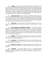**13. Indemnity.** Applicant agrees to and shall defend, indemnify, and hold harmless Port KC, its officers, commissioners, agents, employees, contractors and attorneys at Applicant's expense, from and against any and all claims, demands, obligations, expenses, losses, judgments, damages, liabilities lawsuits costs and expenses (including reasonable attorneys' fees at all tribunal levels) arising out of or related to any breach or default by Applicant in the performance of any of the terms, provisions, covenants or obligations to be observed, performed and/or complied with on the part of Applicant contained or incorporated in this Funding Agreement. The indemnity obligations of Applicant shall survive the termination of this Funding Agreement.

14. **Inaction Not a Waiver.** Failure of Port KC or Applicant to complain of any act or omission on the part of the other Party no matter how long the same may continue, shall not be deemed to be a waiver by said Party of any of its rights under this Funding Agreement. No waiver by Port KC or Applicant at any time, express or implied, of any breach of any provision of this Funding Agreement shall be deemed a waiver of a breach of any other provision of this Funding Agreement or a consent to any subsequent breach of the same or any other provision.

**15. Third Parties.** Nothing contained in this Funding Agreement shall create any rights in, or be deemed to have been executed for the benefit of, any person that is not a party hereto.

**16. Entire Agreement; Incorporation of Exhibits.** This Funding Agreement embodies the entire understanding and agreement between the Parties with respect to the subject matter of this Funding Agreement, and supersedes all prior oral and written negotiations, commitments and understandings between such Parties, and no representations, inducements, promises or other agreements, oral or otherwise, not embodied herein, shall be of any force or effect. The exhibits to this Funding Agreement, if any, shall be deemed to be incorporated in and form a part of this Funding Agreement.

**17. Headings.** The headings in this Funding Agreement are inserted for convenience only and shall not constitute a part of this Funding Agreement or be employed to interpret any term or provision of this Funding Agreement.

**18. Counterparts.** This Funding Agreement may be executed simultaneously in two or more counterparts, each of which shall be deemed an original, but which taken together shall constitute one and the same instrument.

**19. Missouri Law to Govern.** This Funding Agreement shall be governed by and construed under the internal laws of the State of Missouri, without regard to its conflicts of law provisions.

**20. Amendment.** This Funding Agreement may not be modified, amended, supplemented, waived or terminated orally, but only by an agreement in writing signed by the Party against whom enforcement of any such modification, amendment, supplement, waiver or termination is sought.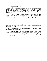**21. Partial Invalidity.** If any term, covenant, condition or provision of this Funding Agreement or the application of this Funding Agreement to any person or circumstance shall, at any time or to any extent, be invalid or unenforceable, the remainder of this Funding Agreement, or the application of such term or provision to persons or circumstances other than those as to which it is held invalid or unenforceable, shall not be affected by the partial invalidity, and each term, covenant, condition and provision of this Funding Agreement shall be valid and be enforced to the fullest extent permitted by law.

**22. Survival.** The terms, agreements, covenants and conditions set forth in this Funding Agreement, which by their nature involve performance after the termination of this Funding Agreement, or which cannot be ascertained to have been fully performed until after the termination of this Funding Agreement, shall survive the termination of this Funding Agreement.

**23. Execution in Counterparts.** This Funding Agreement may be executed in several counterparts, each of which shall be an original, but all of which together shall constitute one and the same instrument.

**24. Binding Effect.** The covenants, conditions and agreements contained in this Funding Agreement shall bind and inure to the benefit of Port KC, its successors and assigns, and Applicant and its successors and assigns.

**25. Time of the Essence**. Time is of the essence in the performance of all obligations under the terms of this Funding Agreement.

**26. Electronic Storage.** The Parties hereto agree that the obligations under this Funding Agreement may be conducted, and related documents may be stored, by electronic means. Copies, telecopies, facsimiles, electronic files and other reproductions of original executed documents shall be deemed to be authentic and valid counterparts of such original documents for all purposes, including the filing of any claim, action or suit in the appropriate court of law.

## **[THE REMAINDER OF THIS PAGE INTENTIONALLY LEFT BLANK]**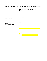**IN WITNESS WHEREOF**, the Parties have signed this Funding Agreement on the Effective Date.

## **PORT AUTHORITY OF KANSAS CITY, MISSOURI**

**\_\_\_\_\_\_\_\_\_\_\_\_\_\_\_\_\_\_\_\_\_\_\_\_\_\_\_\_\_\_\_\_\_\_\_\_\_\_\_\_\_\_\_\_\_\_**

\_\_\_\_\_\_\_\_\_\_\_\_\_\_\_\_\_\_\_\_\_\_\_\_\_\_\_\_\_\_\_\_\_\_\_\_\_\_\_\_\_

By: \_\_\_\_\_\_\_\_\_\_\_\_\_\_\_\_\_\_\_\_\_\_\_\_\_\_\_\_\_\_\_\_\_\_\_\_\_\_\_\_\_

Jon D. Stephens President and CEO

Approved as to form:

Brian T. Rabineau Deputy General Counsel

\_\_\_\_\_\_\_\_\_\_\_\_\_\_\_\_\_\_\_\_\_\_\_\_\_\_\_\_\_\_\_\_\_\_

By: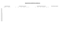# **REQUESTED EXEMPTION SCHEDULES**

| <b>Projected Real Property Values</b> |                 |                |      |        | <b>Projected Real Property Taxes (If Taxed)</b> |                 | <b>Proposed Real Property Payments (If Tax Exempt)</b> |  |      |        |         |                 |              |  |
|---------------------------------------|-----------------|----------------|------|--------|-------------------------------------------------|-----------------|--------------------------------------------------------|--|------|--------|---------|-----------------|--------------|--|
|                                       | Appraised Value | Assessed Value | City | County | Library                                         | School District | Others Total                                           |  | City | County | Library | School District | Others Total |  |
| Year 1                                |                 |                |      |        |                                                 |                 |                                                        |  |      |        |         |                 |              |  |
| Year 2                                |                 |                |      |        |                                                 |                 |                                                        |  |      |        |         |                 |              |  |
| Year 3                                |                 |                |      |        |                                                 |                 |                                                        |  |      |        |         |                 |              |  |
| Year 4                                |                 |                |      |        |                                                 |                 |                                                        |  |      |        |         |                 |              |  |
| Year 5                                |                 |                |      |        |                                                 |                 |                                                        |  |      |        |         |                 |              |  |
| Year 6                                |                 |                |      |        |                                                 |                 |                                                        |  |      |        |         |                 |              |  |
| Year 7                                |                 |                |      |        |                                                 |                 |                                                        |  |      |        |         |                 |              |  |
| Year 8                                |                 |                |      |        |                                                 |                 |                                                        |  |      |        |         |                 |              |  |
| Year 9<br>Year 10                     |                 |                |      |        |                                                 |                 |                                                        |  |      |        |         |                 |              |  |
| Year 11                               |                 |                |      |        |                                                 |                 |                                                        |  |      |        |         |                 |              |  |
| Year 12                               |                 |                |      |        |                                                 |                 |                                                        |  |      |        |         |                 |              |  |
| Year 13                               |                 |                |      |        |                                                 |                 |                                                        |  |      |        |         |                 |              |  |
| Year 14                               |                 |                |      |        |                                                 |                 |                                                        |  |      |        |         |                 |              |  |
| Year 15                               |                 |                |      |        |                                                 |                 |                                                        |  |      |        |         |                 |              |  |
| Year 16                               |                 |                |      |        |                                                 |                 |                                                        |  |      |        |         |                 |              |  |
| Year 17                               |                 |                |      |        |                                                 |                 |                                                        |  |      |        |         |                 |              |  |
| Year 18                               |                 |                |      |        |                                                 |                 |                                                        |  |      |        |         |                 |              |  |
| Year 19                               |                 |                |      |        |                                                 |                 |                                                        |  |      |        |         |                 |              |  |
| Year 20                               |                 |                |      |        |                                                 |                 |                                                        |  |      |        |         |                 |              |  |
| Year 21                               |                 |                |      |        |                                                 |                 |                                                        |  |      |        |         |                 |              |  |
| Year 22                               |                 |                |      |        |                                                 |                 |                                                        |  |      |        |         |                 |              |  |
| Year 23                               |                 |                |      |        |                                                 |                 |                                                        |  |      |        |         |                 |              |  |
| Year 24<br>Year 25                    |                 |                |      |        |                                                 |                 |                                                        |  |      |        |         |                 |              |  |
|                                       |                 |                |      |        |                                                 |                 |                                                        |  |      |        |         |                 |              |  |
|                                       |                 |                |      |        |                                                 |                 |                                                        |  |      |        |         |                 |              |  |
|                                       |                 |                |      |        |                                                 |                 |                                                        |  |      |        |         |                 |              |  |

#### **Projective Real Property Exemption Rate**